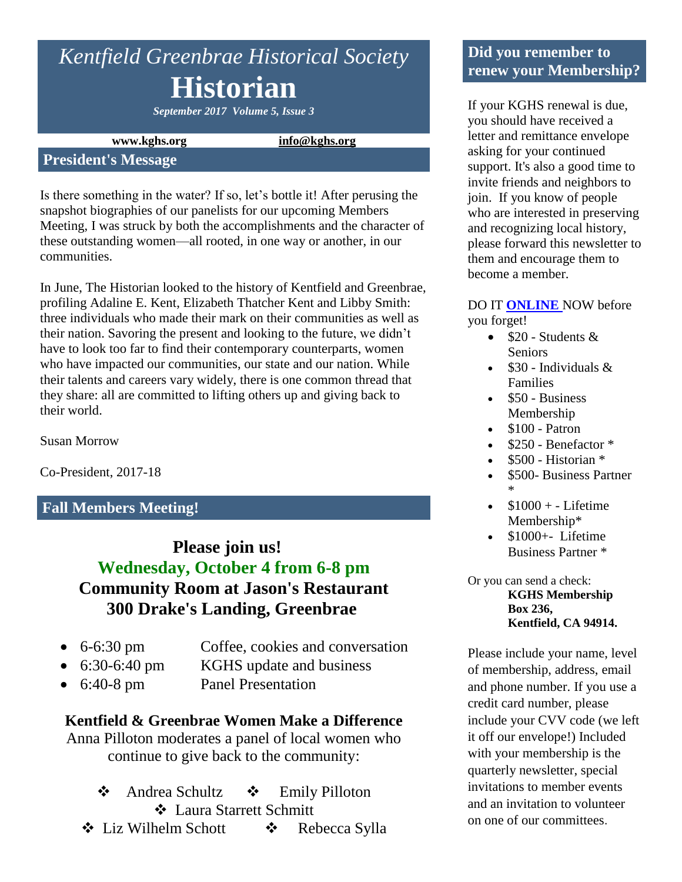# *Kentfield Greenbrae Historical Society* **Historian**

*September 2017 Volume 5, Issue 3*

**www.kghs.org [info@kghs.org](mailto:info@kghs.org)**

#### **President's Message**

Is there something in the water? If so, let's bottle it! After perusing the snapshot biographies of our panelists for our upcoming Members Meeting, I was struck by both the accomplishments and the character of these outstanding women—all rooted, in one way or another, in our communities.

In June, The Historian looked to the history of Kentfield and Greenbrae, profiling Adaline E. Kent, Elizabeth Thatcher Kent and Libby Smith: three individuals who made their mark on their communities as well as their nation. Savoring the present and looking to the future, we didn't have to look too far to find their contemporary counterparts, women who have impacted our communities, our state and our nation. While their talents and careers vary widely, there is one common thread that they share: all are committed to lifting others up and giving back to their world.

Susan Morrow

Co-President, 2017-18

#### **Fall Members Meeting!**

## **Please join us! Wednesday, October 4 from 6-8 pm Community Room at Jason's Restaurant 300 Drake's Landing, Greenbrae**

- 
- 6-6:30 pm Coffee, cookies and conversation
- 6:30-6:40 pm KGHS update and business
	-
- 6:40-8 pm Panel Presentation

#### **Kentfield & Greenbrae Women Make a Difference**

Anna Pilloton moderates a panel of local women who continue to give back to the community:

- ❖ Andrea Schultz ❖ Emily Pilloton Laura Starrett Schmitt
- Liz Wilhelm Schott Rebecca Sylla

#### **Did you remember to renew your Membership?**

If your KGHS renewal is due, you should have received a letter and remittance envelope asking for your continued support. It's also a good time to invite friends and neighbors to join. If you know of people who are interested in preserving and recognizing local history, please forward this newsletter to them and encourage them to become a member.

#### DO IT **[ONLINE](http://www.kghs.org/)** NOW before you forget!

- $\bullet$  \$20 Students & **Seniors**
- \$30 Individuals & Families
- $\bullet$  \$50 Business Membership
- $\bullet$  \$100 Patron
- \$250 Benefactor \*
- \$500 Historian \*
- \$500- Business Partner \*
- $\bullet$  \$1000 + Lifetime Membership\*
- $\bullet$  \$1000+- Lifetime Business Partner \*

Or you can send a check: **KGHS Membership Box 236, Kentfield, CA 94914.** 

Please include your name, level of membership, address, email and phone number. If you use a credit card number, please include your CVV code (we left it off our envelope!) Included with your membership is the quarterly newsletter, special invitations to member events and an invitation to volunteer on one of our committees.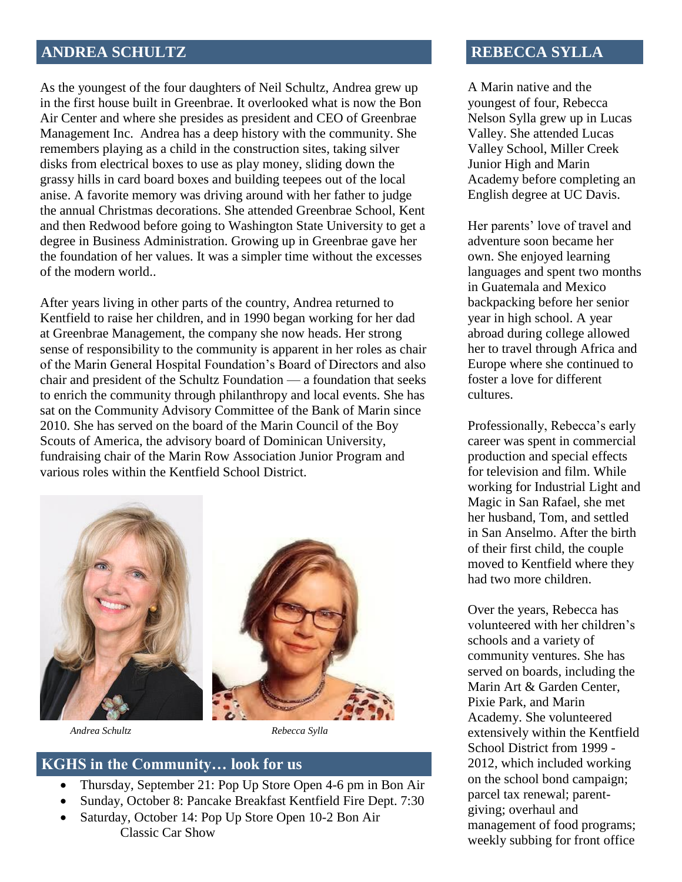#### **ANDREA SCHULTZ**

As the youngest of the four daughters of Neil Schultz, Andrea grew up in the first house built in Greenbrae. It overlooked what is now the Bon Air Center and where she presides as president and CEO of Greenbrae Management Inc. Andrea has a deep history with the community. She remembers playing as a child in the construction sites, taking silver disks from electrical boxes to use as play money, sliding down the grassy hills in card board boxes and building teepees out of the local anise. A favorite memory was driving around with her father to judge the annual Christmas decorations. She attended Greenbrae School, Kent and then Redwood before going to Washington State University to get a degree in Business Administration. Growing up in Greenbrae gave her the foundation of her values. It was a simpler time without the excesses of the modern world..

After years living in other parts of the country, Andrea returned to Kentfield to raise her children, and in 1990 began working for her dad at Greenbrae Management, the company she now heads. Her strong sense of responsibility to the community is apparent in her roles as chair of the Marin General Hospital Foundation's Board of Directors and also chair and president of the Schultz Foundation — a foundation that seeks to enrich the community through philanthropy and local events. She has sat on the Community Advisory Committee of the Bank of Marin since 2010. She has served on the board of the Marin Council of the Boy Scouts of America, the advisory board of Dominican University, fundraising chair of the Marin Row Association Junior Program and various roles within the Kentfield School District.



 *Andrea Schultz Rebecca Sylla*

#### **KGHS in the Community… look for us**

- Thursday, September 21: Pop Up Store Open 4-6 pm in Bon Air
- Sunday, October 8: Pancake Breakfast Kentfield Fire Dept. 7:30
- Saturday, October 14: Pop Up Store Open 10-2 Bon Air Classic Car Show

#### **REBECCA SYLLA**

A Marin native and the youngest of four, Rebecca Nelson Sylla grew up in Lucas Valley. She attended Lucas Valley School, Miller Creek Junior High and Marin Academy before completing an English degree at UC Davis.

Her parents' love of travel and adventure soon became her own. She enjoyed learning languages and spent two months in Guatemala and Mexico backpacking before her senior year in high school. A year abroad during college allowed her to travel through Africa and Europe where she continued to foster a love for different cultures.

Professionally, Rebecca's early career was spent in commercial production and special effects for television and film. While working for Industrial Light and Magic in San Rafael, she met her husband, Tom, and settled in San Anselmo. After the birth of their first child, the couple moved to Kentfield where they had two more children.

Over the years, Rebecca has volunteered with her children's schools and a variety of community ventures. She has served on boards, including the Marin Art & Garden Center, Pixie Park, and Marin Academy. She volunteered extensively within the Kentfield School District from 1999 - 2012, which included working on the school bond campaign; parcel tax renewal; parentgiving; overhaul and management of food programs; weekly subbing for front office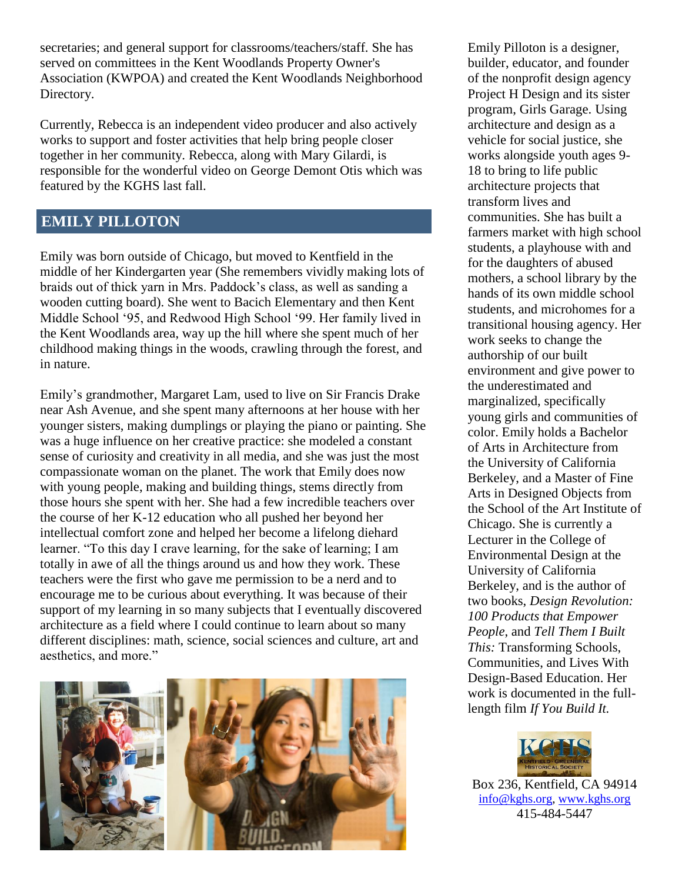secretaries; and general support for classrooms/teachers/staff. She has served on committees in the Kent Woodlands Property Owner's Association (KWPOA) and created the Kent Woodlands Neighborhood Directory.

Currently, Rebecca is an independent video producer and also actively works to support and foster activities that help bring people closer together in her community. Rebecca, along with Mary Gilardi, is responsible for the wonderful video on George Demont Otis which was featured by the KGHS last fall.

### **EMILY PILLOTON**

Emily was born outside of Chicago, but moved to Kentfield in the middle of her Kindergarten year (She remembers vividly making lots of braids out of thick yarn in Mrs. Paddock's class, as well as sanding a wooden cutting board). She went to Bacich Elementary and then Kent Middle School '95, and Redwood High School '99. Her family lived in the Kent Woodlands area, way up the hill where she spent much of her childhood making things in the woods, crawling through the forest, and in nature.

Emily's grandmother, Margaret Lam, used to live on Sir Francis Drake near Ash Avenue, and she spent many afternoons at her house with her younger sisters, making dumplings or playing the piano or painting. She was a huge influence on her creative practice: she modeled a constant sense of curiosity and creativity in all media, and she was just the most compassionate woman on the planet. The work that Emily does now with young people, making and building things, stems directly from those hours she spent with her. She had a few incredible teachers over the course of her K-12 education who all pushed her beyond her intellectual comfort zone and helped her become a lifelong diehard learner. "To this day I crave learning, for the sake of learning; I am totally in awe of all the things around us and how they work. These teachers were the first who gave me permission to be a nerd and to encourage me to be curious about everything. It was because of their support of my learning in so many subjects that I eventually discovered architecture as a field where I could continue to learn about so many different disciplines: math, science, social sciences and culture, art and aesthetics, and more."



Emily Pilloton is a designer, builder, educator, and founder of the nonprofit design agency Project H Design and its sister program, Girls Garage. Using architecture and design as a vehicle for social justice, she works alongside youth ages 9- 18 to bring to life public architecture projects that transform lives and communities. She has built a farmers market with high school students, a playhouse with and for the daughters of abused mothers, a school library by the hands of its own middle school students, and microhomes for a transitional housing agency. Her work seeks to change the authorship of our built environment and give power to the underestimated and marginalized, specifically young girls and communities of color. Emily holds a Bachelor of Arts in Architecture from the University of California Berkeley, and a Master of Fine Arts in Designed Objects from the School of the Art Institute of Chicago. She is currently a Lecturer in the College of Environmental Design at the University of California Berkeley, and is the author of two books, *Design Revolution: 100 Products that Empower People*, and *Tell Them I Built This:* Transforming Schools, Communities, and Lives With Design-Based Education. Her work is documented in the fulllength film *If You Build It.*



Box 236, Kentfield, CA 94914 [info@kghs.org,](mailto:info@kghs.org) [www.kghs.org](http://www.kghs.org/) 415-484-5447